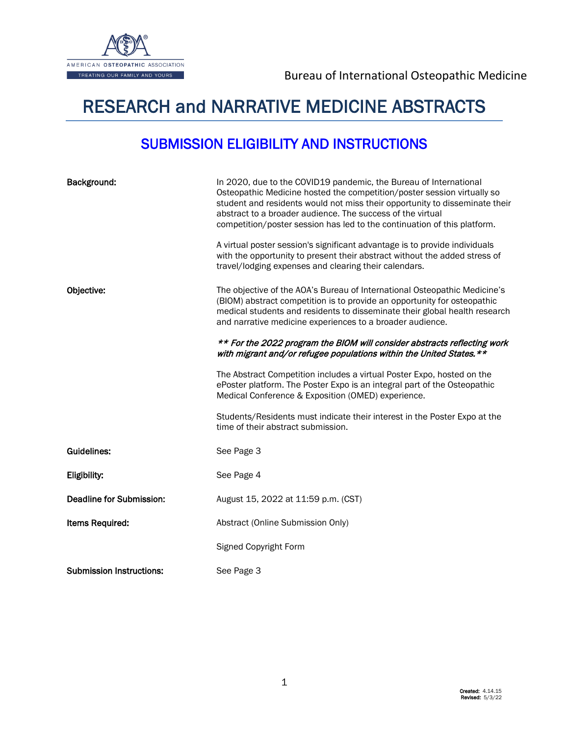

# RESEARCH and NARRATIVE MEDICINE ABSTRACTS

# SUBMISSION ELIGIBILITY AND INSTRUCTIONS

| Background:                     | In 2020, due to the COVID19 pandemic, the Bureau of International<br>Osteopathic Medicine hosted the competition/poster session virtually so<br>student and residents would not miss their opportunity to disseminate their<br>abstract to a broader audience. The success of the virtual<br>competition/poster session has led to the continuation of this platform. |
|---------------------------------|-----------------------------------------------------------------------------------------------------------------------------------------------------------------------------------------------------------------------------------------------------------------------------------------------------------------------------------------------------------------------|
|                                 | A virtual poster session's significant advantage is to provide individuals<br>with the opportunity to present their abstract without the added stress of<br>travel/lodging expenses and clearing their calendars.                                                                                                                                                     |
| Objective:                      | The objective of the AOA's Bureau of International Osteopathic Medicine's<br>(BIOM) abstract competition is to provide an opportunity for osteopathic<br>medical students and residents to disseminate their global health research<br>and narrative medicine experiences to a broader audience.                                                                      |
|                                 | ** For the 2022 program the BIOM will consider abstracts reflecting work<br>with migrant and/or refugee populations within the United States. **                                                                                                                                                                                                                      |
|                                 | The Abstract Competition includes a virtual Poster Expo, hosted on the<br>ePoster platform. The Poster Expo is an integral part of the Osteopathic<br>Medical Conference & Exposition (OMED) experience.                                                                                                                                                              |
|                                 | Students/Residents must indicate their interest in the Poster Expo at the<br>time of their abstract submission.                                                                                                                                                                                                                                                       |
| <b>Guidelines:</b>              | See Page 3                                                                                                                                                                                                                                                                                                                                                            |
| Eligibility:                    | See Page 4                                                                                                                                                                                                                                                                                                                                                            |
| <b>Deadline for Submission:</b> | August 15, 2022 at 11:59 p.m. (CST)                                                                                                                                                                                                                                                                                                                                   |
| <b>Items Required:</b>          | Abstract (Online Submission Only)                                                                                                                                                                                                                                                                                                                                     |
|                                 | Signed Copyright Form                                                                                                                                                                                                                                                                                                                                                 |
| <b>Submission Instructions:</b> | See Page 3                                                                                                                                                                                                                                                                                                                                                            |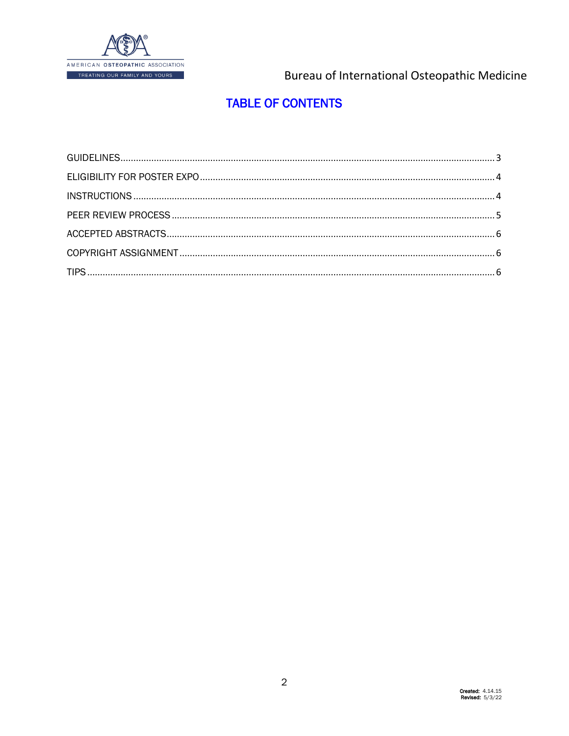

## **TABLE OF CONTENTS**

<span id="page-1-0"></span>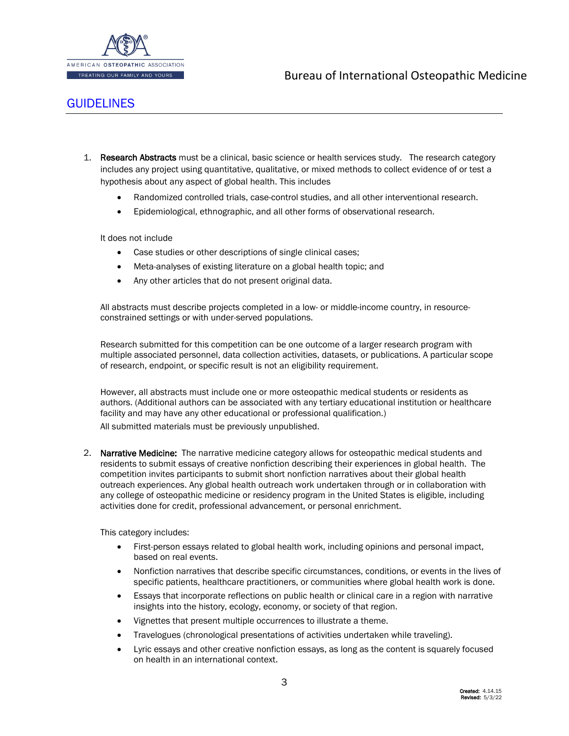

### <span id="page-2-0"></span>**[GUIDELINES](#page-1-0)**

- 1. Research Abstracts must be a clinical, basic science or health services study. The research category includes any project using quantitative, qualitative, or mixed methods to collect evidence of or test a hypothesis about any aspect of global health. This includes
	- Randomized controlled trials, case-control studies, and all other interventional research.
	- Epidemiological, ethnographic, and all other forms of observational research.

It does not include

- Case studies or other descriptions of single clinical cases;
- Meta-analyses of existing literature on a global health topic; and
- Any other articles that do not present original data.

All abstracts must describe projects completed in a low- or middle-income country, in resourceconstrained settings or with under-served populations.

Research submitted for this competition can be one outcome of a larger research program with multiple associated personnel, data collection activities, datasets, or publications. A particular scope of research, endpoint, or specific result is not an eligibility requirement.

However, all abstracts must include one or more osteopathic medical students or residents as authors. (Additional authors can be associated with any tertiary educational institution or healthcare facility and may have any other educational or professional qualification.)

All submitted materials must be previously unpublished.

2. Narrative Medicine: The narrative medicine category allows for osteopathic medical students and residents to submit essays of creative nonfiction describing their experiences in global health. The competition invites participants to submit short nonfiction narratives about their global health outreach experiences. Any global health outreach work undertaken through or in collaboration with any college of osteopathic medicine or residency program in the United States is eligible, including activities done for credit, professional advancement, or personal enrichment.

This category includes:

- First-person essays related to global health work, including opinions and personal impact, based on real events.
- Nonfiction narratives that describe specific circumstances, conditions, or events in the lives of specific patients, healthcare practitioners, or communities where global health work is done.
- Essays that incorporate reflections on public health or clinical care in a region with narrative insights into the history, ecology, economy, or society of that region.
- Vignettes that present multiple occurrences to illustrate a theme.
- Travelogues (chronological presentations of activities undertaken while traveling).
- Lyric essays and other creative nonfiction essays, as long as the content is squarely focused on health in an international context.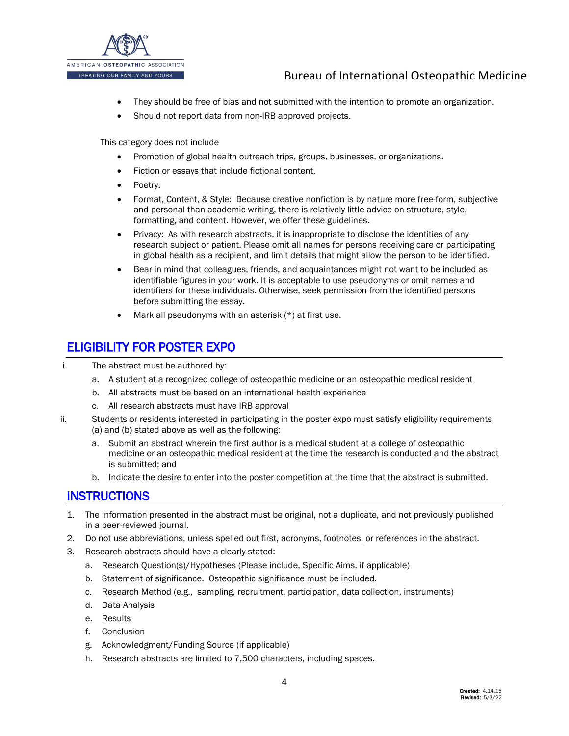

- They should be free of bias and not submitted with the intention to promote an organization.
- Should not report data from non-IRB approved projects.

This category does not include

- Promotion of global health outreach trips, groups, businesses, or organizations.
- Fiction or essays that include fictional content.
- Poetry.
- Format, Content, & Style: Because creative nonfiction is by nature more free-form, subjective and personal than academic writing, there is relatively little advice on structure, style, formatting, and content. However, we offer these guidelines.
- Privacy: As with research abstracts, it is inappropriate to disclose the identities of any research subject or patient. Please omit all names for persons receiving care or participating in global health as a recipient, and limit details that might allow the person to be identified.
- Bear in mind that colleagues, friends, and acquaintances might not want to be included as identifiable figures in your work. It is acceptable to use pseudonyms or omit names and identifiers for these individuals. Otherwise, seek permission from the identified persons before submitting the essay.
- Mark all pseudonyms with an asterisk  $(*)$  at first use.

### <span id="page-3-0"></span>[ELIGIBILITY FOR POSTER EXPO](#page-1-0)

- i. The abstract must be authored by:
	- a. A student at a recognized college of osteopathic medicine or an osteopathic medical resident
	- b. All abstracts must be based on an international health experience
	- c. All research abstracts must have IRB approval
- ii. Students or residents interested in participating in the poster expo must satisfy eligibility requirements (a) and (b) stated above as well as the following:
	- a. Submit an abstract wherein the first author is a medical student at a college of osteopathic medicine or an osteopathic medical resident at the time the research is conducted and the abstract is submitted; and
	- b. Indicate the desire to enter into the poster competition at the time that the abstract is submitted.

### <span id="page-3-1"></span>**[INSTRUCTIONS](#page-1-0)**

- 1. The information presented in the abstract must be original, not a duplicate, and not previously published in a peer-reviewed journal.
- 2. Do not use abbreviations, unless spelled out first, acronyms, footnotes, or references in the abstract.
- 3. Research abstracts should have a clearly stated:
	- a. Research Question(s)/Hypotheses (Please include, Specific Aims, if applicable)
	- b. Statement of significance. Osteopathic significance must be included.
	- c. Research Method (e.g., sampling, recruitment, participation, data collection, instruments)
	- d. Data Analysis
	- e. Results
	- f. Conclusion
	- g. Acknowledgment/Funding Source (if applicable)
	- h. Research abstracts are limited to 7,500 characters, including spaces.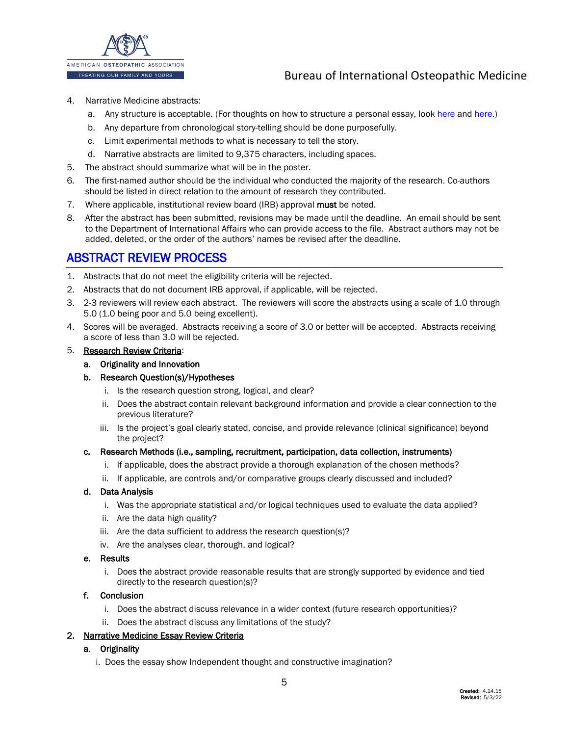

- 4. Narrative Medicine abstracts:
	- a. Any structure is acceptable. (For thoughts on how to structure a personal essay, loo[k here](https://www.creativenonfiction.org/online-reading/picturing-personal-essay-visual-guide) and [here.](https://davehood59.wordpress.com/2010/05/05/organizing-a-personal-essay/))
	- b. Any departure from chronological story-telling should be done purposefully.
	- c. Limit experimental methods to what is necessary to tell the story.
	- d. Narrative abstracts are limited to 9,375 characters, including spaces.
- 5. The abstract should summarize what will be in the poster.
- 6. The first-named author should be the individual who conducted the majority of the research. Co-authors should be listed in direct relation to the amount of research they contributed.
- 7. Where applicable, institutional review board (IRB) approval must be noted.
- 8. After the abstract has been submitted, revisions may be made until the deadline. An email should be sent to the Department of International Affairs who can provide access to the file. Abstract authors may not be added, deleted, or the order of the authors' names be revised after the deadline.

### <span id="page-4-0"></span>[ABSTRACT REVIEW PROCESS](#page-1-0)

- 1. Abstracts that do not meet the eligibility criteria will be rejected.
- 2. Abstracts that do not document IRB approval, if applicable, will be rejected.
- 3. 2-3 reviewers will review each abstract. The reviewers will score the abstracts using a scale of 1.0 through 5.0 (1.0 being poor and 5.0 being excellent).
- 4. Scores will be averaged. Abstracts receiving a score of 3.0 or better will be accepted. Abstracts receiving a score of less than 3.0 will be rejected.

#### 5. Research Review Criteria:

a. Originality and Innovation

#### b. Research Question(s)/Hypotheses

- i. Is the research question strong, logical, and clear?
- ii. Does the abstract contain relevant background information and provide a clear connection to the previous literature?
- iii. Is the project's goal clearly stated, concise, and provide relevance (clinical significance) beyond the project?

#### c. Research Methods (i.e., sampling, recruitment, participation, data collection, instruments)

- i. If applicable, does the abstract provide a thorough explanation of the chosen methods?
- ii. If applicable, are controls and/or comparative groups clearly discussed and included?

#### d. Data Analysis

- i. Was the appropriate statistical and/or logical techniques used to evaluate the data applied?
- ii. Are the data high quality?
- iii. Are the data sufficient to address the research question(s)?
- iv. Are the analyses clear, thorough, and logical?

#### e. Results

i. Does the abstract provide reasonable results that are strongly supported by evidence and tied directly to the research question(s)?

#### f. Conclusion

- i. Does the abstract discuss relevance in a wider context (future research opportunities)?
- ii. Does the abstract discuss any limitations of the study?

#### 2. Narrative Medicine Essay Review Criteria

- a. Originality
	- i. Does the essay show Independent thought and constructive imagination?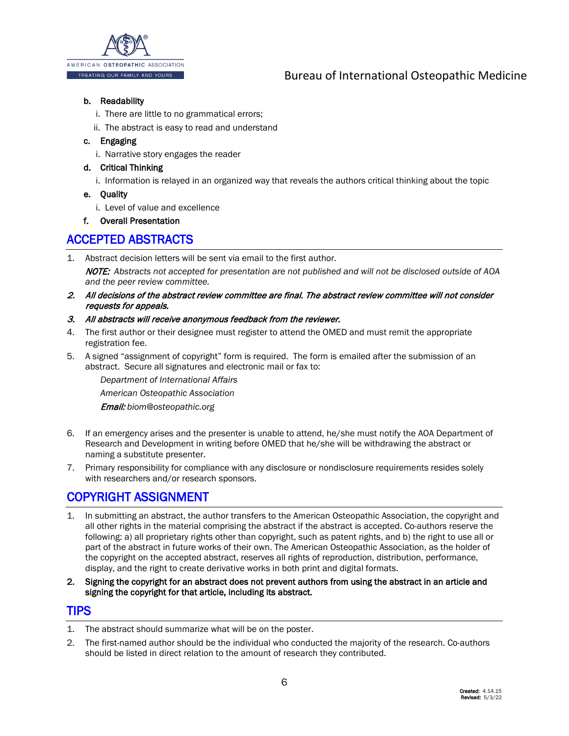

#### b. Readability

- i. There are little to no grammatical errors;
- ii. The abstract is easy to read and understand

#### c. Engaging

- i. Narrative story engages the reader
- d. Critical Thinking
	- i. Information is relayed in an organized way that reveals the authors critical thinking about the topic

#### e. Quality

i. Level of value and excellence

#### f. Overall Presentation

### <span id="page-5-0"></span>[ACCEPTED ABSTRACTS](#page-1-0)

- 1. Abstract decision letters will be sent via email to the first author. NOTE: *Abstracts not accepted for presentation are not published and will not be disclosed outside of AOA and the peer review committee.*
- 2. All decisions of the abstract review committee are final. The abstract review committee will not consider requests for appeals.

#### 3. All abstracts will receive anonymous feedback from the reviewer.

- 4. The first author or their designee must register to attend the OMED and must remit the appropriate registration fee.
- 5. A signed "assignment of copyright" form is required. The form is emailed after the submission of an abstract. Secure all signatures and electronic mail or fax to:

*Department of International Affairs American Osteopathic Association* 

Email: *biom@osteopathic.org* 

- 6. If an emergency arises and the presenter is unable to attend, he/she must notify the AOA Department of Research and Development in writing before OMED that he/she will be withdrawing the abstract or naming a substitute presenter.
- 7. Primary responsibility for compliance with any disclosure or nondisclosure requirements resides solely with researchers and/or research sponsors.

### <span id="page-5-1"></span>[COPYRIGHT ASSIGNMENT](#page-1-0)

- 1. In submitting an abstract, the author transfers to the American Osteopathic Association, the copyright and all other rights in the material comprising the abstract if the abstract is accepted. Co-authors reserve the following: a) all proprietary rights other than copyright, such as patent rights, and b) the right to use all or part of the abstract in future works of their own. The American Osteopathic Association, as the holder of the copyright on the accepted abstract, reserves all rights of reproduction, distribution, performance, display, and the right to create derivative works in both print and digital formats.
- 2. Signing the copyright for an abstract does not prevent authors from using the abstract in an article and signing the copyright for that article, including its abstract.

#### <span id="page-5-2"></span>[TIPS](#page-1-0)

- 1. The abstract should summarize what will be on the poster.
- 2. The first-named author should be the individual who conducted the majority of the research. Co-authors should be listed in direct relation to the amount of research they contributed.